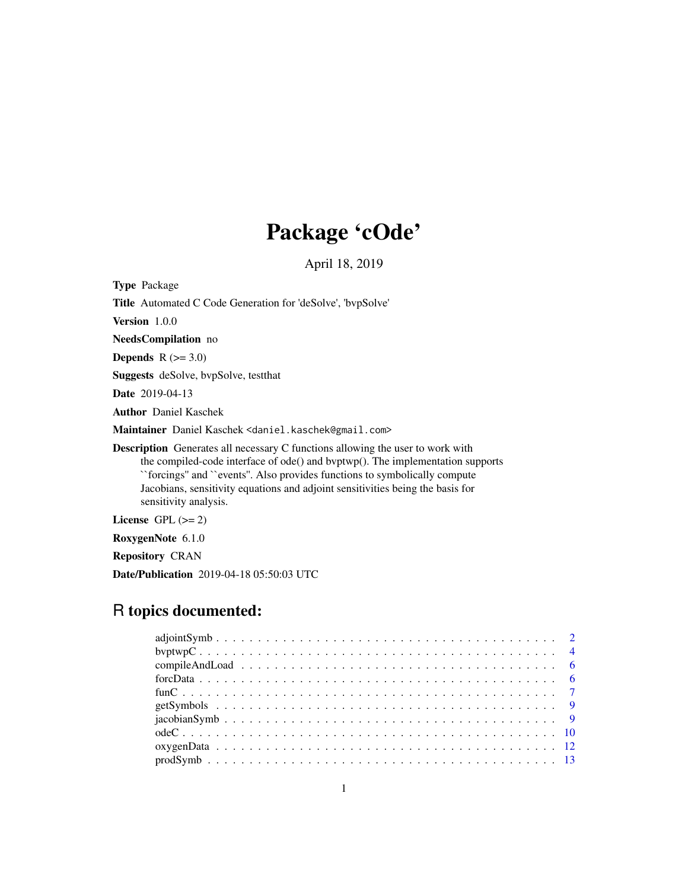## Package 'cOde'

April 18, 2019

<span id="page-0-0"></span>

Repository CRAN

Date/Publication 2019-04-18 05:50:03 UTC

### R topics documented: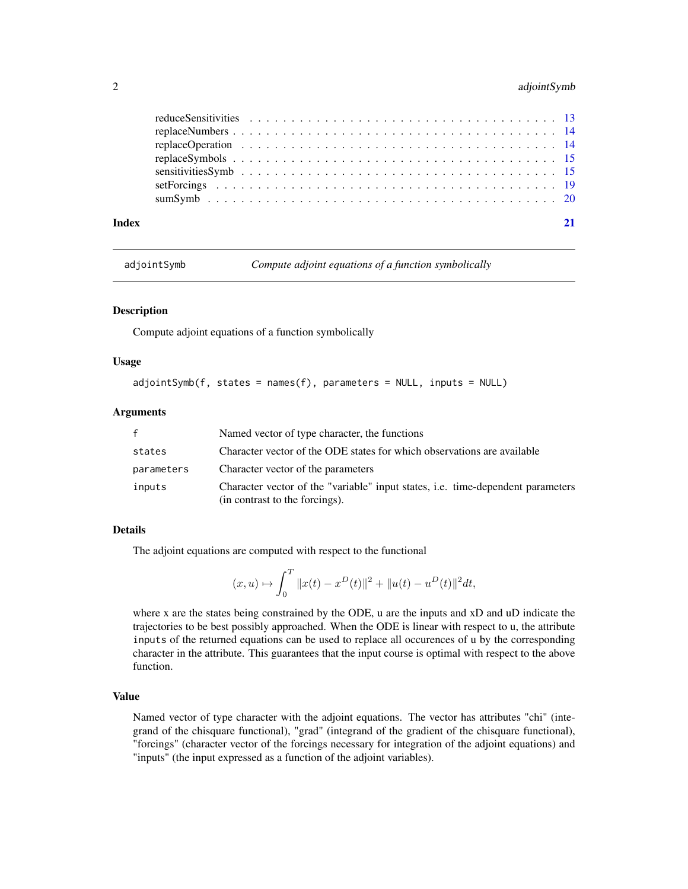#### <span id="page-1-0"></span>2 adjointSymb

| Index | 21 |
|-------|----|
|       |    |
|       |    |
|       |    |
|       |    |
|       |    |
|       |    |
|       |    |

<span id="page-1-1"></span>adjointSymb *Compute adjoint equations of a function symbolically*

#### Description

Compute adjoint equations of a function symbolically

#### Usage

```
adjointSymb(f, states = names(f), parameters = NULL, inputs = NULL)
```
#### Arguments

| $\mathbf{f}$                                                                                                                       | Named vector of type character, the functions                           |  |
|------------------------------------------------------------------------------------------------------------------------------------|-------------------------------------------------------------------------|--|
| states                                                                                                                             | Character vector of the ODE states for which observations are available |  |
| parameters                                                                                                                         | Character vector of the parameters                                      |  |
| Character vector of the "variable" input states, <i>i.e.</i> time-dependent parameters<br>inputs<br>(in contrast to the forcings). |                                                                         |  |

#### Details

The adjoint equations are computed with respect to the functional

$$
(x,u) \mapsto \int_0^T \|x(t)-x^D(t)\|^2 + \|u(t)-u^D(t)\|^2 dt,
$$

where x are the states being constrained by the ODE, u are the inputs and xD and uD indicate the trajectories to be best possibly approached. When the ODE is linear with respect to u, the attribute inputs of the returned equations can be used to replace all occurences of u by the corresponding character in the attribute. This guarantees that the input course is optimal with respect to the above function.

#### Value

Named vector of type character with the adjoint equations. The vector has attributes "chi" (integrand of the chisquare functional), "grad" (integrand of the gradient of the chisquare functional), "forcings" (character vector of the forcings necessary for integration of the adjoint equations) and "inputs" (the input expressed as a function of the adjoint variables).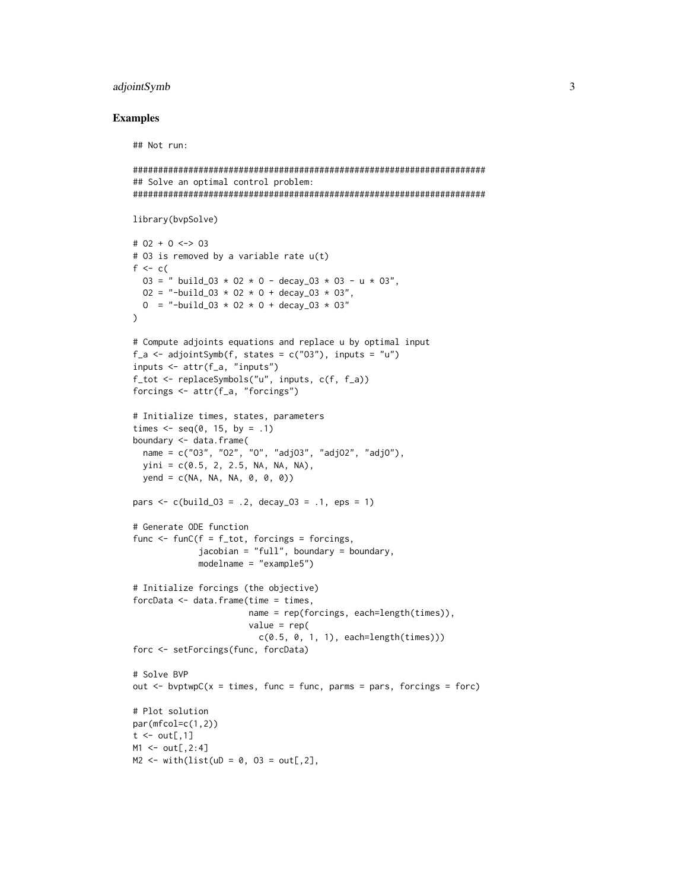#### adjointSymb 3

#### Examples

```
######################################################################
## Solve an optimal control problem:
######################################################################
library(bvpSolve)
# O2 + O <-> O3
# O3 is removed by a variable rate u(t)
f <-c(03 = " build_03 * 02 * 0 - decay_03 * 03 - u * 03",
 02 = "-build_03 * 02 * 0 + decay_03 * 03",
 0 = "-build_03 \star 02 \star 0 + decay_03 \star 03"
\lambda# Compute adjoints equations and replace u by optimal input
f_a \leftarrow adjointSymb(f, states = c("03"), inputs = "u")inputs <- attr(f_a, "inputs")
f_tot <- replaceSymbols("u", inputs, c(f, f_a))
forcings <- attr(f_a, "forcings")
# Initialize times, states, parameters
times \leq - seq(0, 15, by = .1)
boundary <- data.frame(
 name = c("O3", "O2", "O", "adjO3", "adjO2", "adjO"),
 \text{vini} = c(0.5, 2, 2.5, \text{NA}, \text{NA}, \text{NA}),yend = c(NA, NA, NA, 0, 0, 0))pars \leq c (build_03 = .2, decay_03 = .1, eps = 1)
# Generate ODE function
func \le funC(f = f_tot, forcings = forcings,
             jacobian = "full", boundary = boundary,
             modelname = "example5")
# Initialize forcings (the objective)
forcData \leq data.frame(time = times,
                        name = rep(forcings, each=length(times)),
                        value = rep(
                          c(0.5, 0, 1, 1), each=length(times)))
forc <- setForcings(func, forcData)
# Solve BVP
out \leq bvptwpC(x = times, func = func, parms = pars, forcings = forc)
# Plot solution
par(mfcol=c(1,2))
t \leq - out[,1]
M1 < - out[,2:4]
M2 <- with(list(uD = 0, 03 = out[,2],
```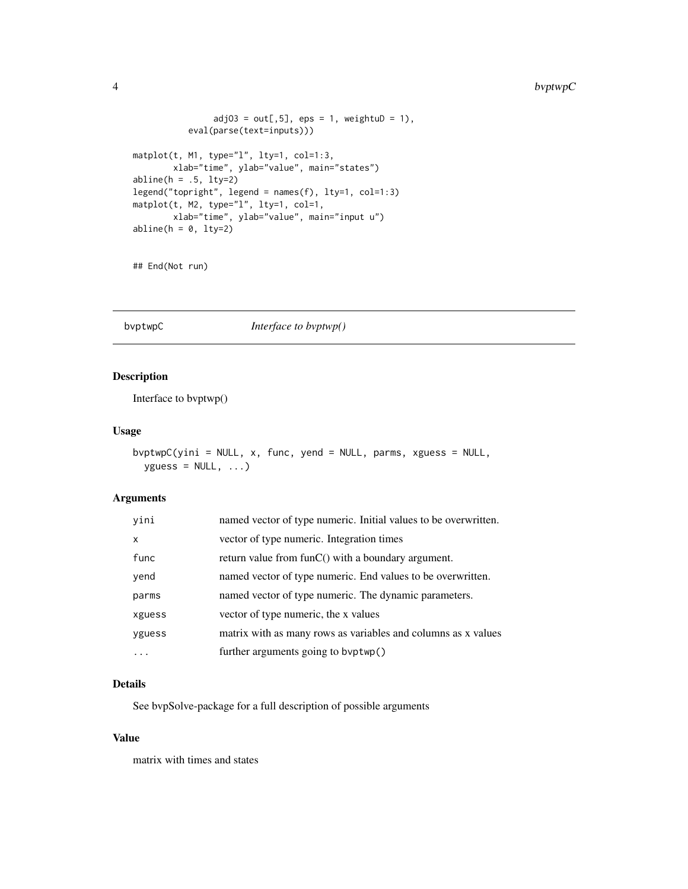#### <span id="page-3-0"></span>4 bvptwpC

```
adj03 = out[, 5], eps = 1, weightub = 1),eval(parse(text=inputs)))
matplot(t, M1, type="l", lty=1, col=1:3,
       xlab="time", ylab="value", main="states")
abline(h = .5, 1ty=2)legend("topright", legend = names(f), lty=1, col=1:3)
matplot(t, M2, type="l", lty=1, col=1,
       xlab="time", ylab="value", main="input u")
abline(h = 0, 1ty=2)
```

```
## End(Not run)
```
#### bvptwpC *Interface to bvptwp()*

#### Description

Interface to bvptwp()

#### Usage

```
bvptwpC(yini = NULL, x, func, yend = NULL, parms, xguess = NULL,
 yguess = NULL, ...
```
#### Arguments

| yini         | named vector of type numeric. Initial values to be overwritten. |
|--------------|-----------------------------------------------------------------|
| $\mathsf{x}$ | vector of type numeric. Integration times                       |
| func         | return value from $funC()$ with a boundary argument.            |
| yend         | named vector of type numeric. End values to be overwritten.     |
| parms        | named vector of type numeric. The dynamic parameters.           |
| xguess       | vector of type numeric, the x values                            |
| yguess       | matrix with as many rows as variables and columns as x values   |
|              | further arguments going to byptwp()                             |

#### Details

See bvpSolve-package for a full description of possible arguments

#### Value

matrix with times and states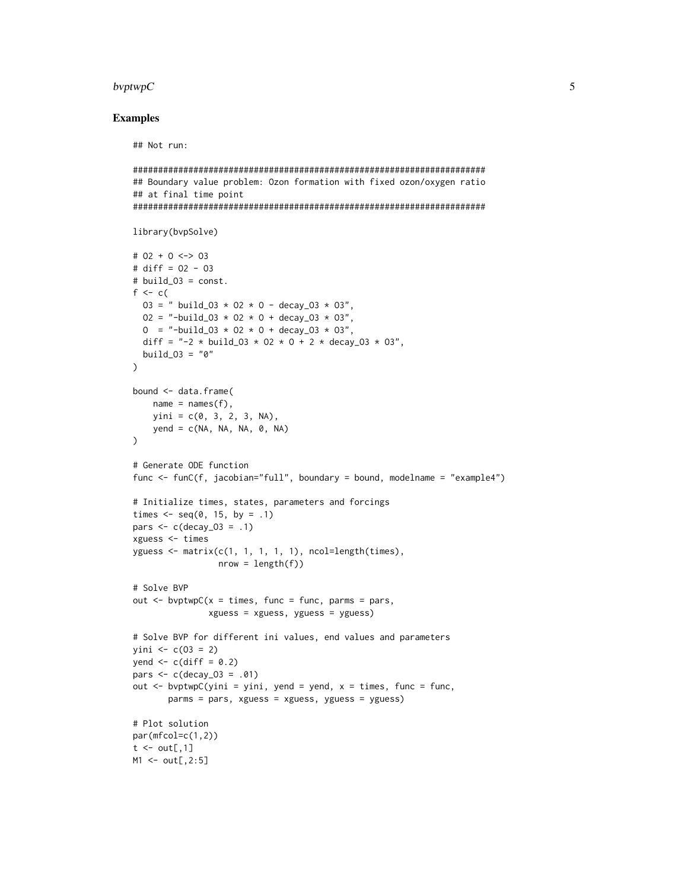#### bvptwpC  $5\,$

#### Examples

```
######################################################################
## Boundary value problem: Ozon formation with fixed ozon/oxygen ratio
## at final time point
######################################################################
library(bvpSolve)
# O2 + O <-> O3
# diff = O2 - O3
# build_O3 = const.
f <-c(03 = " build_03 * 02 * 0 - decay_03 * 03",
  02 = "-build_03 \star 02 \star 0 + decay_03 \star 03",
  0 = "-build_03 * 02 * 0 + decay_03 * 03",
  diff = " -2 * build_03 * 02 * 0 + 2 * decay_03 * 03",build_03 = "0")
bound <- data.frame(
    name = names(f),
    yini = c(0, 3, 2, 3, NA),yend = c(NA, NA, NA, 0, NA))
# Generate ODE function
func <- funC(f, jacobian="full", boundary = bound, modelname = "example4")
# Initialize times, states, parameters and forcings
times \leq seq(0, 15, by = .1)
pars \leq c(decay_03 = .1)
xguess <- times
yguess \leq matrix(c(1, 1, 1, 1, 1), ncol=length(times),
                 nrow = length(f)# Solve BVP
out \leq bvptwpC(x = times, func = func, parms = pars,
               xguess = xguess, yguess = yguess)
# Solve BVP for different ini values, end values and parameters
yini \leq c(03 = 2)yend \leq c(diff = 0.2)
pars <- c(decay_O3 = .01)
out \leq bvptwpC(yini = yini, yend = yend, x = times, func = func,
       parms = pars, xguess = xguess, yguess = yguess)
# Plot solution
par(mfcol=c(1,2))
t \le out[,1]
M1 < - out[,2:5]
```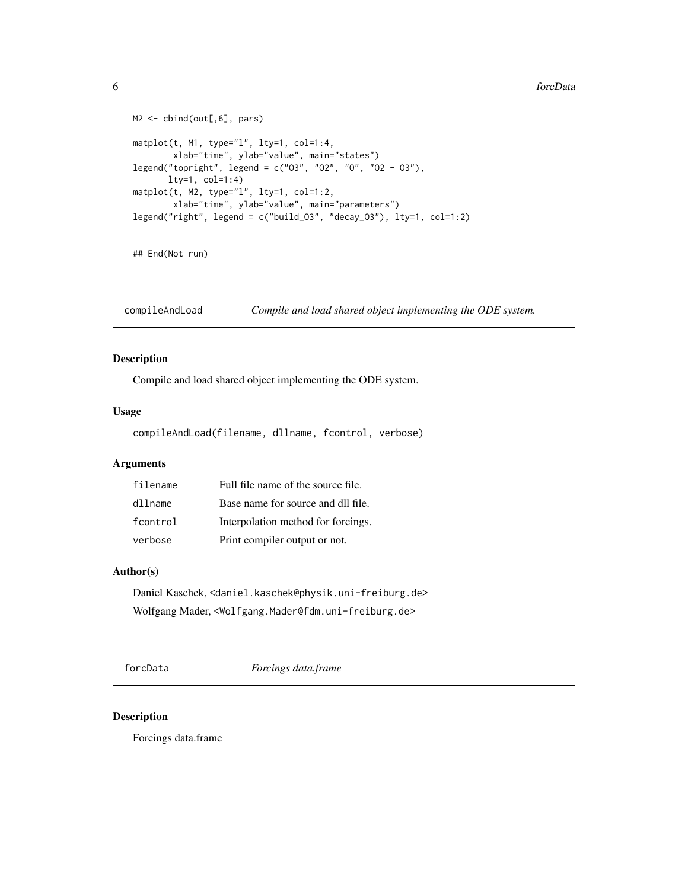```
M2 <- cbind(out[,6], pars)
matplot(t, M1, type="l", lty=1, col=1:4,
        xlab="time", ylab="value", main="states")
legend("topright", legend = c("O3", "O2", "O", "O2 - O3"),
       lty=1, col=1:4)
matplot(t, M2, type="l", lty=1, col=1:2,
       xlab="time", ylab="value", main="parameters")
legend("right", legend = c("build_O3", "decay_O3"), lty=1, col=1:2)
```
## End(Not run)

compileAndLoad *Compile and load shared object implementing the ODE system.*

#### Description

Compile and load shared object implementing the ODE system.

#### Usage

compileAndLoad(filename, dllname, fcontrol, verbose)

#### Arguments

| filename | Full file name of the source file. |
|----------|------------------------------------|
| dllname  | Base name for source and dll file. |
| fcontrol | Interpolation method for forcings. |
| verbose  | Print compiler output or not.      |

#### Author(s)

Daniel Kaschek, <daniel.kaschek@physik.uni-freiburg.de> Wolfgang Mader, <Wolfgang.Mader@fdm.uni-freiburg.de>

forcData *Forcings data.frame*

#### Description

Forcings data.frame

<span id="page-5-0"></span>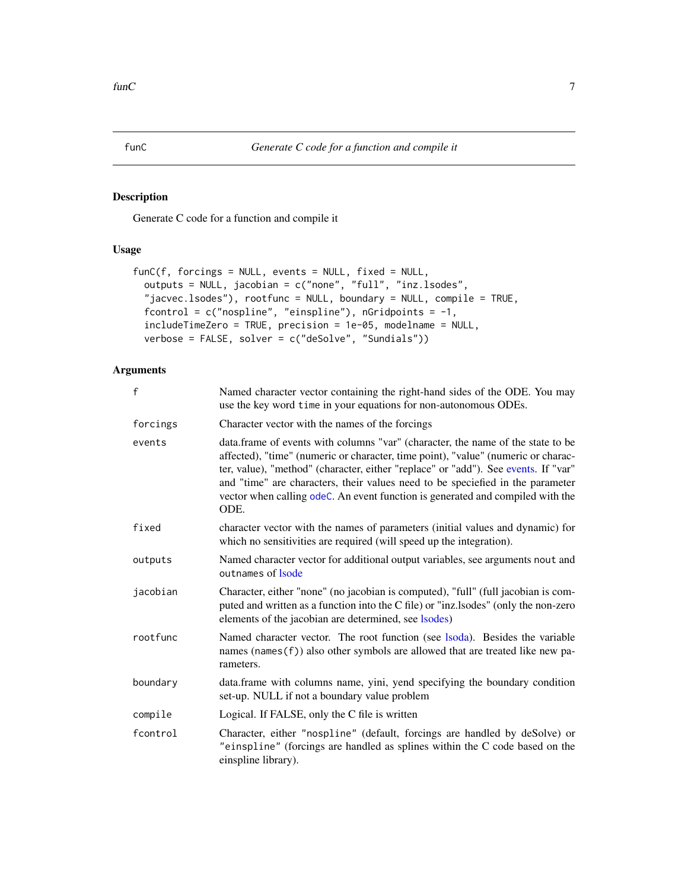<span id="page-6-1"></span><span id="page-6-0"></span>Generate C code for a function and compile it

#### Usage

```
funC(f, forcings = NULL, events = NULL, fixed = NULL,
 outputs = NULL, jacobian = c("none", "full", "inz.lsodes",
 "jacvec.lsodes"), rootfunc = NULL, boundary = NULL, compile = TRUE,
 fcontrol = c("nospline", "einspline"), nGridpoints = -1,
  includeTimeZero = TRUE, precision = 1e-05, modelname = NULL,
 verbose = FALSE, solver = c("deSolve", "Sundials"))
```
#### Arguments

| f        | Named character vector containing the right-hand sides of the ODE. You may<br>use the key word time in your equations for non-autonomous ODEs.                                                                                                                                                                                                                                                                                         |  |
|----------|----------------------------------------------------------------------------------------------------------------------------------------------------------------------------------------------------------------------------------------------------------------------------------------------------------------------------------------------------------------------------------------------------------------------------------------|--|
| forcings | Character vector with the names of the forcings                                                                                                                                                                                                                                                                                                                                                                                        |  |
| events   | data.frame of events with columns "var" (character, the name of the state to be<br>affected), "time" (numeric or character, time point), "value" (numeric or charac-<br>ter, value), "method" (character, either "replace" or "add"). See events. If "var"<br>and "time" are characters, their values need to be speciefied in the parameter<br>vector when calling odeC. An event function is generated and compiled with the<br>ODE. |  |
| fixed    | character vector with the names of parameters (initial values and dynamic) for<br>which no sensitivities are required (will speed up the integration).                                                                                                                                                                                                                                                                                 |  |
| outputs  | Named character vector for additional output variables, see arguments nout and<br>outnames of <b>Isode</b>                                                                                                                                                                                                                                                                                                                             |  |
| jacobian | Character, either "none" (no jacobian is computed), "full" (full jacobian is com-<br>puted and written as a function into the C file) or "inz.lsodes" (only the non-zero<br>elements of the jacobian are determined, see lsodes)                                                                                                                                                                                                       |  |
| rootfunc | Named character vector. The root function (see lsoda). Besides the variable<br>names (names(f)) also other symbols are allowed that are treated like new pa-<br>rameters.                                                                                                                                                                                                                                                              |  |
| boundary | data.frame with columns name, yini, yend specifying the boundary condition<br>set-up. NULL if not a boundary value problem                                                                                                                                                                                                                                                                                                             |  |
| compile  | Logical. If FALSE, only the C file is written                                                                                                                                                                                                                                                                                                                                                                                          |  |
| fcontrol | Character, either "nospline" (default, forcings are handled by deSolve) or<br>"einspline" (forcings are handled as splines within the C code based on the<br>einspline library).                                                                                                                                                                                                                                                       |  |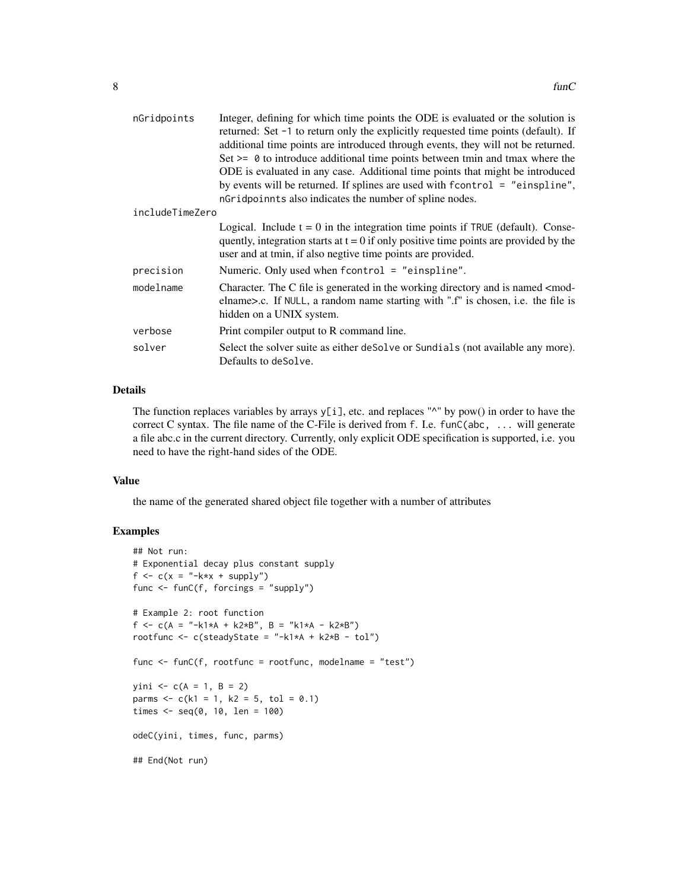| nGridpoints     | Integer, defining for which time points the ODE is evaluated or the solution is<br>returned: Set -1 to return only the explicitly requested time points (default). If<br>additional time points are introduced through events, they will not be returned.<br>Set $\geq$ 0 to introduce additional time points between tmin and tmax where the<br>ODE is evaluated in any case. Additional time points that might be introduced<br>by events will be returned. If splines are used with $f$ control = "einspline",<br>nGridpoinnts also indicates the number of spline nodes. |  |
|-----------------|------------------------------------------------------------------------------------------------------------------------------------------------------------------------------------------------------------------------------------------------------------------------------------------------------------------------------------------------------------------------------------------------------------------------------------------------------------------------------------------------------------------------------------------------------------------------------|--|
| includeTimeZero |                                                                                                                                                                                                                                                                                                                                                                                                                                                                                                                                                                              |  |
|                 | Logical. Include $t = 0$ in the integration time points if TRUE (default). Conse-<br>quently, integration starts at $t = 0$ if only positive time points are provided by the<br>user and at tmin, if also negtive time points are provided.                                                                                                                                                                                                                                                                                                                                  |  |
| precision       | Numeric. Only used when $fcontrol = "einspline".$                                                                                                                                                                                                                                                                                                                                                                                                                                                                                                                            |  |
| modelname       | Character. The C file is generated in the working directory and is named $\leq$ mod-<br>elname>.c. If NULL, a random name starting with ".f" is chosen, i.e. the file is<br>hidden on a UNIX system.                                                                                                                                                                                                                                                                                                                                                                         |  |
| verbose         | Print compiler output to R command line.                                                                                                                                                                                                                                                                                                                                                                                                                                                                                                                                     |  |
| solver          | Select the solver suite as either deSolve or Sundials (not available any more).<br>Defaults to deSolve.                                                                                                                                                                                                                                                                                                                                                                                                                                                                      |  |

#### Details

The function replaces variables by arrays  $y[i]$ , etc. and replaces " $^{\prime\prime\prime}$ " by pow() in order to have the correct C syntax. The file name of the C-File is derived from f. I.e. funC(abc, ... will generate a file abc.c in the current directory. Currently, only explicit ODE specification is supported, i.e. you need to have the right-hand sides of the ODE.

#### Value

the name of the generated shared object file together with a number of attributes

#### Examples

```
## Not run:
# Exponential decay plus constant supply
f \leq c(x = "-k*x + supply")func <- funC(f, forcings = "supply")
# Example 2: root function
f <- c(A = "-k1*A + k2*B", B = "k1*A - k2*B")
rootfunc \leq c(steadyState = "-k1*A + k2*B - tol")
func <- funC(f, rootfunc = rootfunc, modelname = "test")
yini \leq c(A = 1, B = 2)parms \leq c(k1 = 1, k2 = 5, tol = 0.1)times <- seq(0, 10, len = 100)
odeC(yini, times, func, parms)
## End(Not run)
```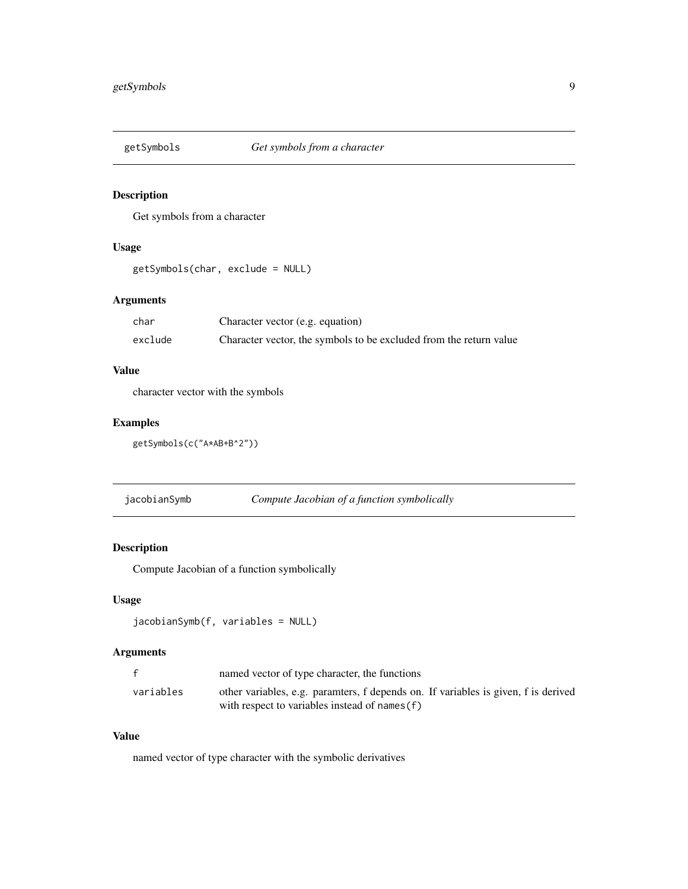<span id="page-8-0"></span>

Get symbols from a character

#### Usage

```
getSymbols(char, exclude = NULL)
```
#### Arguments

| char    | Character vector (e.g. equation)                                   |
|---------|--------------------------------------------------------------------|
| exclude | Character vector, the symbols to be excluded from the return value |

#### Value

character vector with the symbols

#### Examples

```
getSymbols(c("A*AB+B^2"))
```
jacobianSymb *Compute Jacobian of a function symbolically*

#### Description

Compute Jacobian of a function symbolically

### Usage

```
jacobianSymb(f, variables = NULL)
```
#### Arguments

|           | named vector of type character, the functions                                                                                        |
|-----------|--------------------------------------------------------------------------------------------------------------------------------------|
| variables | other variables, e.g. paramters, f depends on. If variables is given, f is derived<br>with respect to variables instead of names (f) |

#### Value

named vector of type character with the symbolic derivatives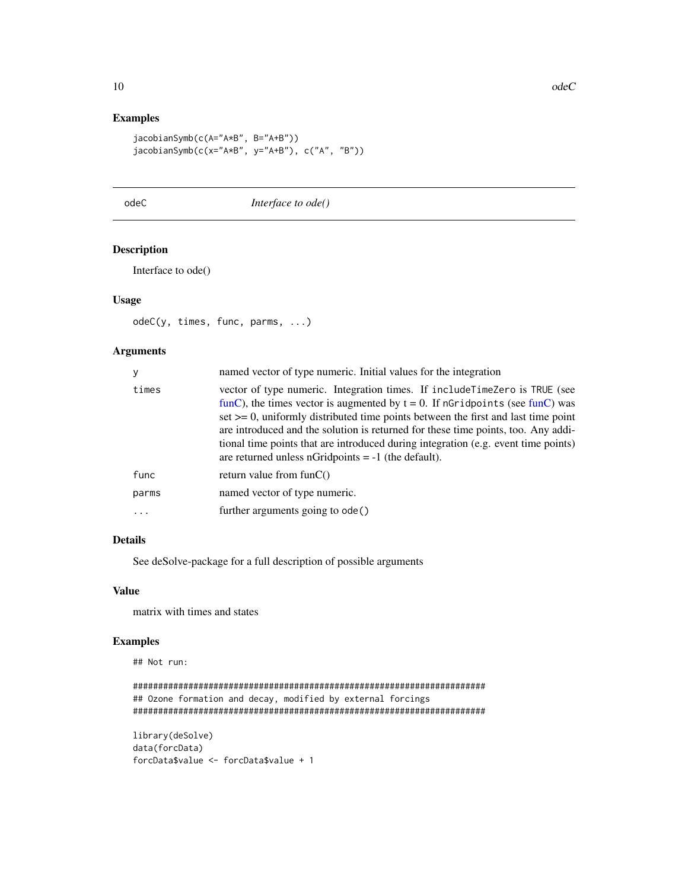#### Examples

```
jacobianSymb(c(A="A*B", B="A+B"))
jacobianSymb(c(x="A*B", y="A+B"), c("A", "B"))
```
<span id="page-9-1"></span>

odeC *Interface to ode()*

#### Description

Interface to ode()

#### Usage

odeC(y, times, func, parms, ...)

#### Arguments

| times<br>are returned unless nGridpoints $= -1$ (the default).<br>func<br>return value from $funC()$<br>named vector of type numeric.<br>parms | y | named vector of type numeric. Initial values for the integration                                                                                                                                                                                                                                                                                                                                                                    |  |
|------------------------------------------------------------------------------------------------------------------------------------------------|---|-------------------------------------------------------------------------------------------------------------------------------------------------------------------------------------------------------------------------------------------------------------------------------------------------------------------------------------------------------------------------------------------------------------------------------------|--|
|                                                                                                                                                |   | vector of type numeric. Integration times. If include Time Zero is TRUE (see<br>funC), the times vector is augmented by $t = 0$ . If nGridpoints (see funC) was<br>set $\geq$ 0, uniformly distributed time points between the first and last time point<br>are introduced and the solution is returned for these time points, too. Any addi-<br>tional time points that are introduced during integration (e.g. event time points) |  |
|                                                                                                                                                |   |                                                                                                                                                                                                                                                                                                                                                                                                                                     |  |
|                                                                                                                                                |   |                                                                                                                                                                                                                                                                                                                                                                                                                                     |  |
|                                                                                                                                                |   | further arguments going to ode()                                                                                                                                                                                                                                                                                                                                                                                                    |  |

#### Details

See deSolve-package for a full description of possible arguments

#### Value

matrix with times and states

#### Examples

```
######################################################################
## Ozone formation and decay, modified by external forcings
######################################################################
```

```
library(deSolve)
data(forcData)
forcData$value <- forcData$value + 1
```
<span id="page-9-0"></span>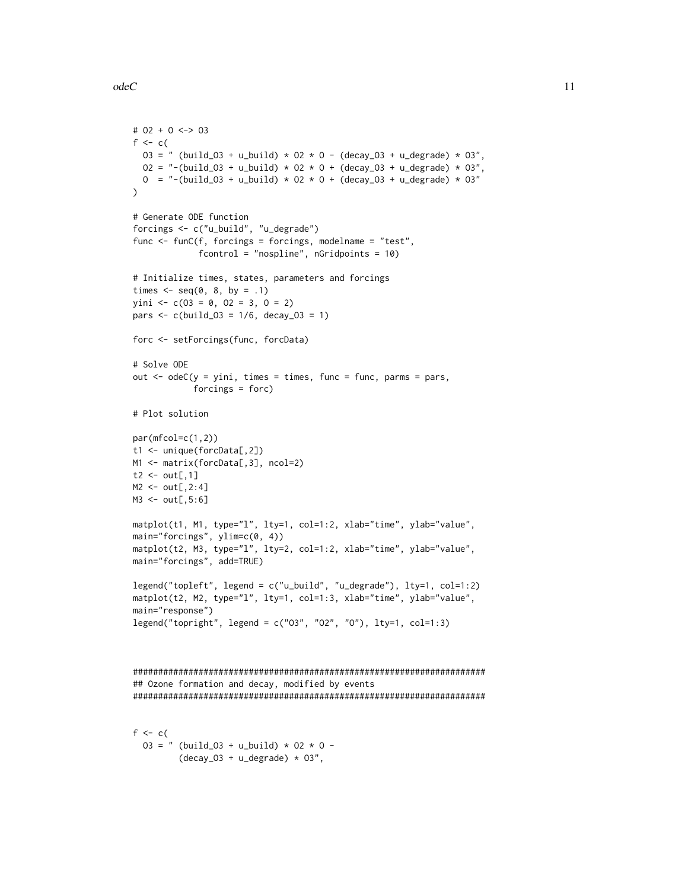```
odeC 11
```

```
# O2 + O <-> O3
f \leftarrow c(
 03 = " (build_03 + u_b, 02 \times 0 - (decay_03 + u_d, 03 \times 03))02 = "-(build_03 + u_build) * 02 * 0 + (decay_03 + u_degrade) * 03",
  0 = "-(build_03 + u_build) * 02 * 0 + (decay_03 + u_degrade) * 03"
)
# Generate ODE function
forcings <- c("u_build", "u_degrade")
func <- funC(f, forcings = forcings, modelname = "test",
             fcontrol = "nospline", nGridpoints = 10)
# Initialize times, states, parameters and forcings
times \leq seq(0, 8, by = .1)
yini <- c(03 = 0, 02 = 3, 0 = 2)pars <- c(build_O3 = 1/6, decay_O3 = 1)
forc <- setForcings(func, forcData)
# Solve ODE
out \leq odeC(y = yini, times = times, func = func, parms = pars,
            forcings = forc)
# Plot solution
par(mfcol=c(1,2))
t1 <- unique(forcData[,2])
M1 <- matrix(forcData[,3], ncol=2)
t2 \leq out[, 1]M2 < - out[,2:4]
M3 <- out[,5:6]
matplot(t1, M1, type="l", lty=1, col=1:2, xlab="time", ylab="value",
main="forcings", ylim=c(0, 4))
matplot(t2, M3, type="l", lty=2, col=1:2, xlab="time", ylab="value",
main="forcings", add=TRUE)
legend("topleft", legend = c("u_build", "u_degrade"), lty=1, col=1:2)
matplot(t2, M2, type="l", lty=1, col=1:3, xlab="time", ylab="value",
main="response")
legend("topright", legend = c("O3", "O2", "O"), lty=1, col=1:3)
######################################################################
## Ozone formation and decay, modified by events
######################################################################
f \leftarrow c(
  03 = " (build_03 + u_buid) * 02 * 0 -(decay_03 + u_degrade) * 03",
```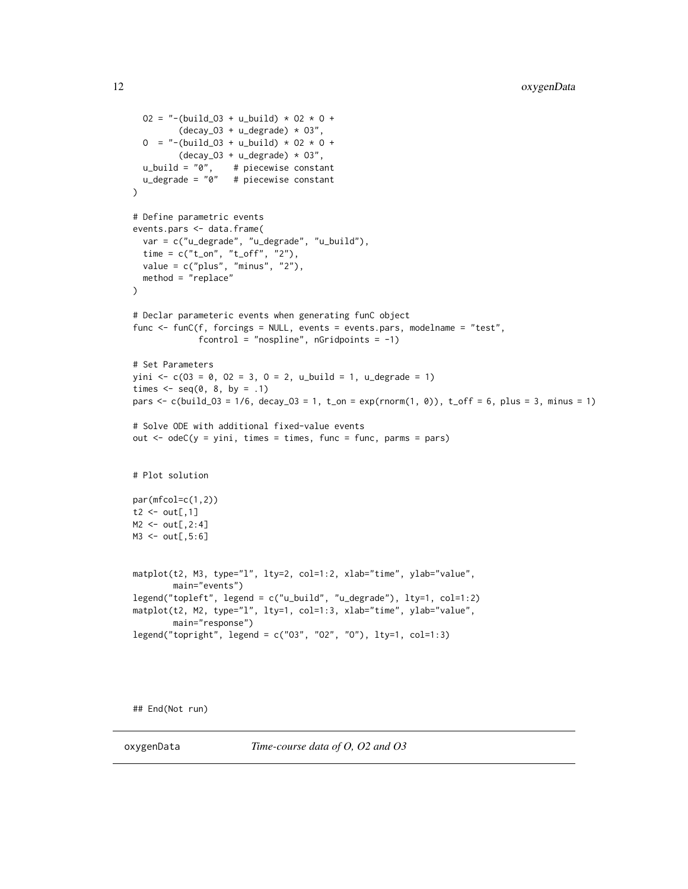```
02 = "-(build_03 + u_build) * 02 * 0 +
         (decay_03 + u_degrade) * 03",0 = "-(build_03 + u_build) * 02 * 0 +
        (decay_03 + u_d) * 03",u_build = "0", # piecewise constant
  u_degrade = "0" # piecewise constant
\lambda# Define parametric events
events.pars <- data.frame(
  var = c("u_degrade", "u_degrade", "u_build"),
  time = c("t_on", "t_off", "2"),
  value = c("plus", "minus", "2"),
  method = "replace"
)
# Declar parameteric events when generating funC object
func <- funC(f, forcings = NULL, events = events.pars, modelname = "test",
             fcontrol = "nospline", nGridpoints = -1)
# Set Parameters
yini <- c(03 = 0, 02 = 3, 0 = 2, u_b = 1, u_d = 1)times \leq seq(0, 8, by = .1)
pars <- c(build_O3 = 1/6, decay_O3 = 1, t_on = exp(rnorm(1, 0)), t_off = 6, plus = 3, minus = 1)
# Solve ODE with additional fixed-value events
out \leq odeC(y = yini, times = times, func = func, parms = pars)
# Plot solution
par(mfcol=c(1,2))
t2 \leq out[, 1]M2 < - out[,2:4]
M3 <- out[,5:6]
matplot(t2, M3, type="l", lty=2, col=1:2, xlab="time", ylab="value",
        main="events")
legend("topleft", legend = c("u_build", "u_degrade"), lty=1, col=1:2)
matplot(t2, M2, type="l", lty=1, col=1:3, xlab="time", ylab="value",
        main="response")
legend("topright", legend = c("O3", "O2", "O"), lty=1, col=1:3)
```
## End(Not run)

oxygenData *Time-course data of O, O2 and O3*

<span id="page-11-0"></span>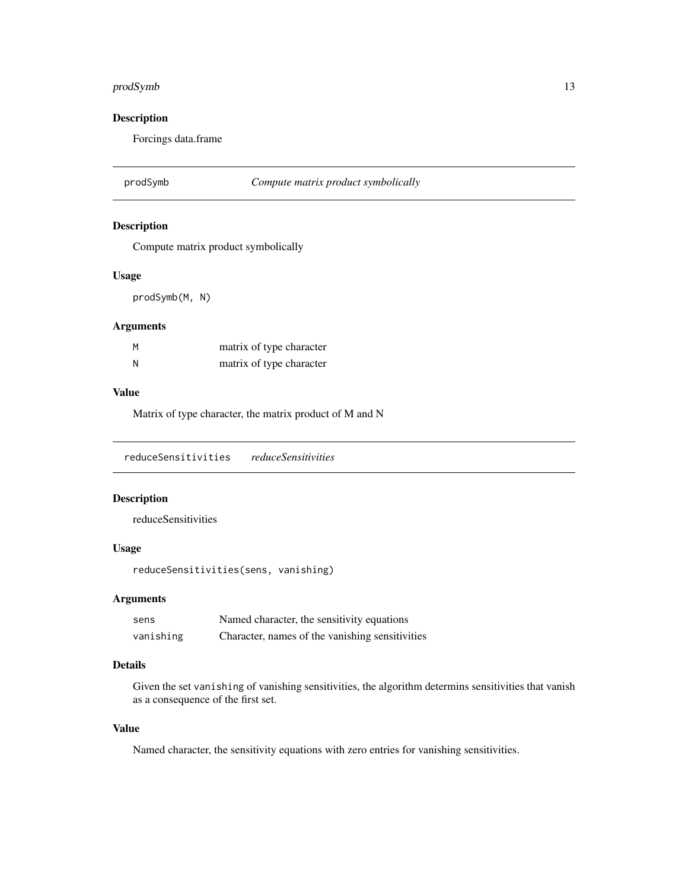#### <span id="page-12-0"></span>prodSymb 13

#### Description

Forcings data.frame

prodSymb *Compute matrix product symbolically*

#### Description

Compute matrix product symbolically

#### Usage

prodSymb(M, N)

#### Arguments

| M | matrix of type character |
|---|--------------------------|
| N | matrix of type character |

#### Value

Matrix of type character, the matrix product of M and N

reduceSensitivities *reduceSensitivities*

#### Description

reduceSensitivities

#### Usage

```
reduceSensitivities(sens, vanishing)
```
#### Arguments

| sens      | Named character, the sensitivity equations      |
|-----------|-------------------------------------------------|
| vanishing | Character, names of the vanishing sensitivities |

#### Details

Given the set vanishing of vanishing sensitivities, the algorithm determins sensitivities that vanish as a consequence of the first set.

#### Value

Named character, the sensitivity equations with zero entries for vanishing sensitivities.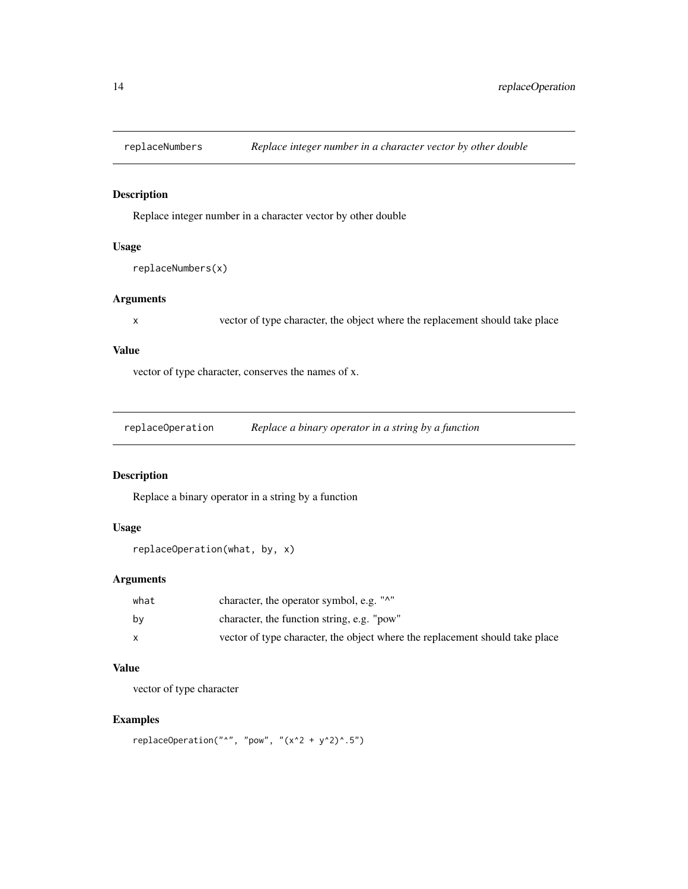<span id="page-13-0"></span>

Replace integer number in a character vector by other double

#### Usage

```
replaceNumbers(x)
```
#### Arguments

x vector of type character, the object where the replacement should take place

#### Value

vector of type character, conserves the names of x.

replaceOperation *Replace a binary operator in a string by a function*

#### Description

Replace a binary operator in a string by a function

#### Usage

```
replaceOperation(what, by, x)
```
#### Arguments

| what | character, the operator symbol, e.g. "^"                                     |
|------|------------------------------------------------------------------------------|
| bv   | character, the function string, e.g. "pow"                                   |
|      | vector of type character, the object where the replacement should take place |

### Value

vector of type character

#### Examples

```
replaceOperation("^", "pow", "(x^2 + y^2)^2.5")
```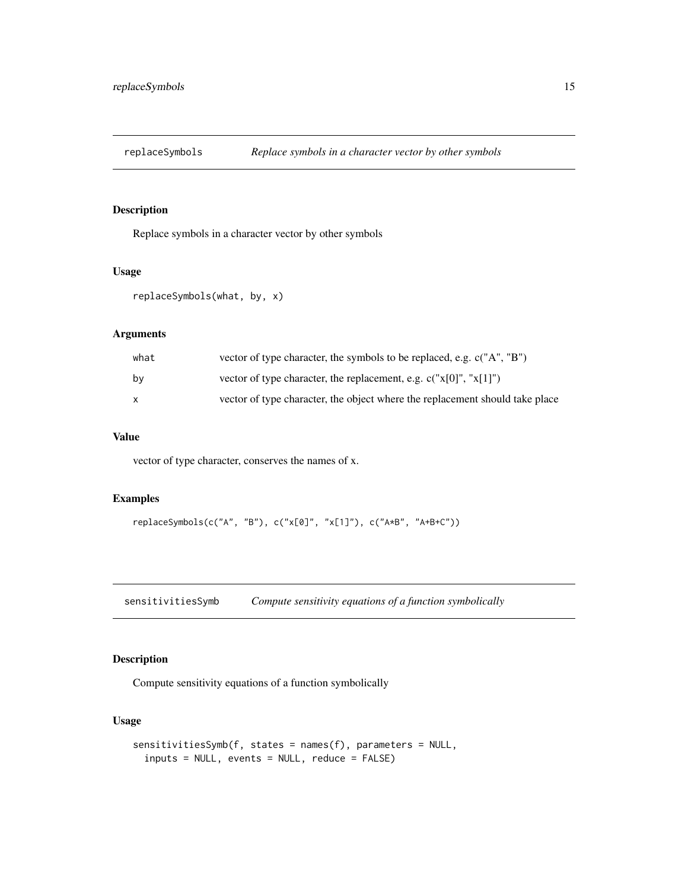<span id="page-14-0"></span>

Replace symbols in a character vector by other symbols

#### Usage

```
replaceSymbols(what, by, x)
```
#### Arguments

| what | vector of type character, the symbols to be replaced, e.g. $c("A", "B")$     |
|------|------------------------------------------------------------------------------|
| bv   | vector of type character, the replacement, e.g. $c("x[0", "x[1]])$           |
| X    | vector of type character, the object where the replacement should take place |

#### Value

vector of type character, conserves the names of x.

#### Examples

```
replaceSymbols(c("A", "B"), c("x[0]", "x[1]"), c("A*B", "A+B+C"))
```
sensitivitiesSymb *Compute sensitivity equations of a function symbolically*

#### Description

Compute sensitivity equations of a function symbolically

#### Usage

```
sensitivitiesSymb(f, states = names(f), parameters = NULL,
 inputs = NULL, events = NULL, reduce = FALSE)
```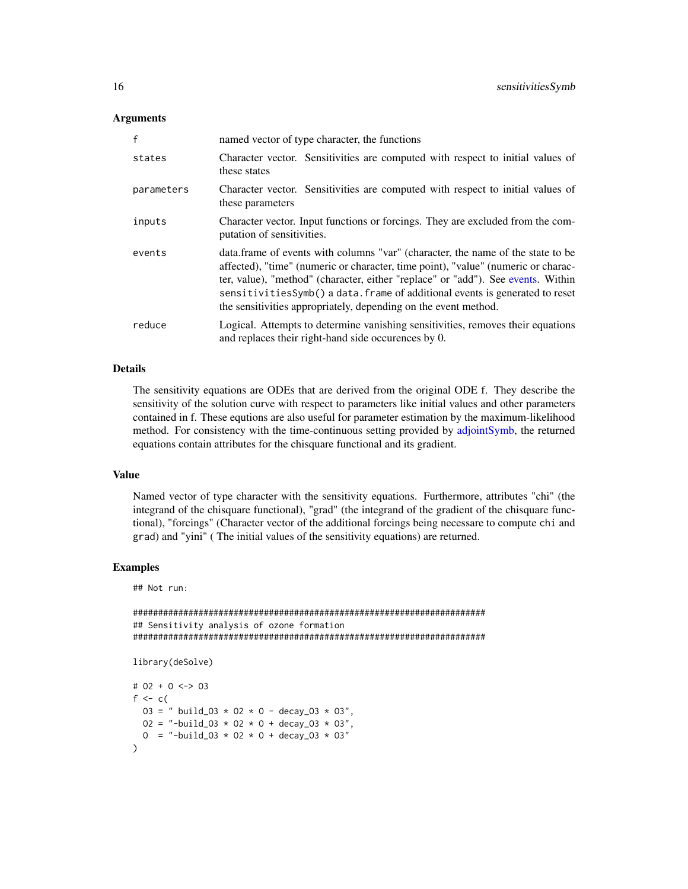#### <span id="page-15-0"></span>Arguments

| f          | named vector of type character, the functions                                                                                                                                                                                                                                                                                                                                                                |  |
|------------|--------------------------------------------------------------------------------------------------------------------------------------------------------------------------------------------------------------------------------------------------------------------------------------------------------------------------------------------------------------------------------------------------------------|--|
| states     | Character vector. Sensitivities are computed with respect to initial values of<br>these states                                                                                                                                                                                                                                                                                                               |  |
| parameters | Character vector. Sensitivities are computed with respect to initial values of<br>these parameters                                                                                                                                                                                                                                                                                                           |  |
| inputs     | Character vector. Input functions or forcings. They are excluded from the com-<br>putation of sensitivities.                                                                                                                                                                                                                                                                                                 |  |
| events     | data. frame of events with columns "var" (character, the name of the state to be<br>affected), "time" (numeric or character, time point), "value" (numeric or charac-<br>ter, value), "method" (character, either "replace" or "add"). See events. Within<br>sensitivitiesSymb() a data. frame of additional events is generated to reset<br>the sensitivities appropriately, depending on the event method. |  |
| reduce     | Logical. Attempts to determine vanishing sensitivities, removes their equations<br>and replaces their right-hand side occurences by 0.                                                                                                                                                                                                                                                                       |  |

#### Details

The sensitivity equations are ODEs that are derived from the original ODE f. They describe the sensitivity of the solution curve with respect to parameters like initial values and other parameters contained in f. These equtions are also useful for parameter estimation by the maximum-likelihood method. For consistency with the time-continuous setting provided by [adjointSymb,](#page-1-1) the returned equations contain attributes for the chisquare functional and its gradient.

#### Value

Named vector of type character with the sensitivity equations. Furthermore, attributes "chi" (the integrand of the chisquare functional), "grad" (the integrand of the gradient of the chisquare functional), "forcings" (Character vector of the additional forcings being necessare to compute chi and grad) and "yini" ( The initial values of the sensitivity equations) are returned.

#### Examples

```
######################################################################
## Sensitivity analysis of ozone formation
######################################################################
library(deSolve)
# O2 + O <-> O3
f \leq c(
  03 = " build_03 * 02 * 0 - decay_03 * 03",
  02 = "-build_03 * 02 * 0 + decay_03 * 03",
  0 = "-build_03 * 02 * 0 + decay_03 * 03"
)
```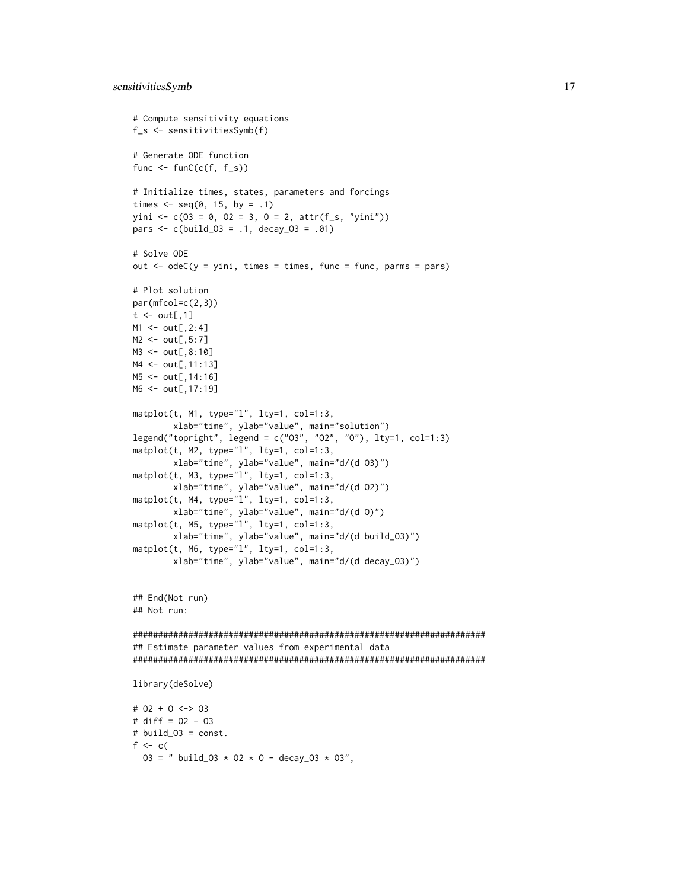```
# Compute sensitivity equations
f_s <- sensitivitiesSymb(f)
# Generate ODE function
func \leq funC(c(f, f_s))
# Initialize times, states, parameters and forcings
times \leq seq(0, 15, by = .1)
yini <- c(03 = 0, 02 = 3, 0 = 2, \text{attr}(f_s, "yini"))pars <- c(build_O3 = .1, decay_O3 = .01)
# Solve ODE
out \leq odeC(y = yini, times = times, func = func, parms = pars)
# Plot solution
par(mfcol=c(2,3))
t \leq - out[,1]
M1 < - out[,2:4]
M2 <- out[,5:7]
M3 <- out[,8:10]
M4 <- out[,11:13]
M5 <- out[,14:16]
M6 <- out[,17:19]
matplot(t, M1, type="l", lty=1, col=1:3,
        xlab="time", ylab="value", main="solution")
legend("topright", legend = c("O3", "O2", "O"), lty=1, col=1:3)
matplot(t, M2, type="l", lty=1, col=1:3,
        xlab="time", ylab="value", main="d/(d O3)")
matplot(t, M3, type="l", lty=1, col=1:3,
        xlab="time", ylab="value", main="d/(d O2)")
matplot(t, M4, type="l", lty=1, col=1:3,
        xlab="time", ylab="value", main="d/(d O)")
matplot(t, M5, type="1", lty=1, col=1:3,
        xlab="time", ylab="value", main="d/(d build_O3)")
mathot(t, M6, type="1", lty=1, col=1:3,xlab="time", ylab="value", main="d/(d decay_O3)")
## End(Not run)
## Not run:
######################################################################
## Estimate parameter values from experimental data
######################################################################
library(deSolve)
# O2 + O <-> O3
# diff = O2 - O3
# build_O3 = const.
f <-c(
  03 = " build_03 * 02 * 0 - decay_03 * 03",
```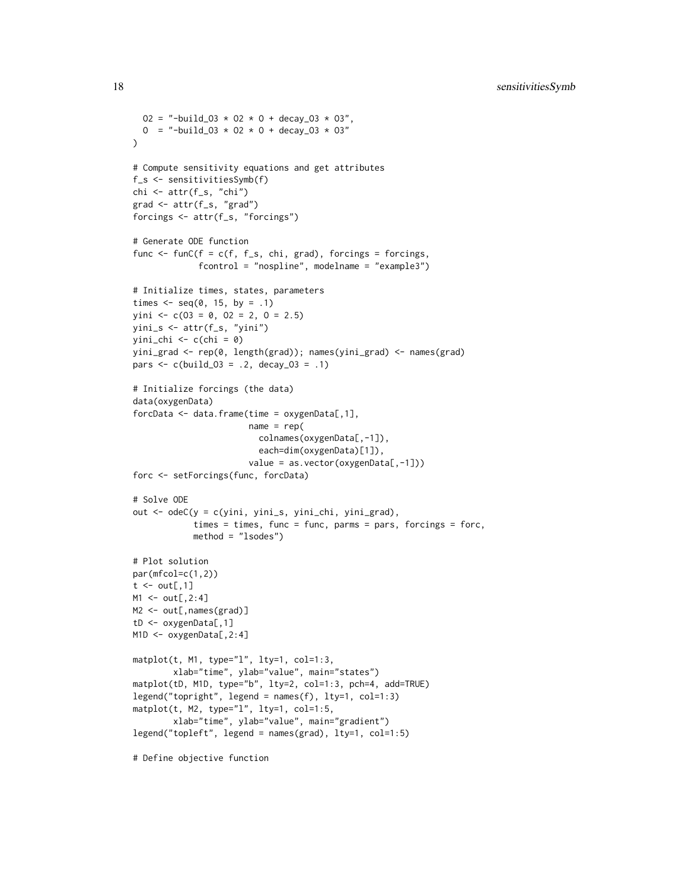```
02 = "-build_03 \star 02 \star 0 + decay_03 \star 03",
 0 = "-build_03 \star 02 \star 0 + decay_03 \star 03"
)
# Compute sensitivity equations and get attributes
f_s <- sensitivitiesSymb(f)
chi <- attr(f_s, "chi")
grad <- attr(f_s, "grad")
forcings <- attr(f_s, "forcings")
# Generate ODE function
func \le funC(f = c(f, f_s, chi, grad), forcings = forcings,
             fcontrol = "nospline", modelname = "example3")
# Initialize times, states, parameters
times \leq seq(0, 15, by = .1)
yini \leftarrow c(03 = 0, 02 = 2, 0 = 2.5)yini_s <- attr(f_s, "yini")
yini_{chi} < -c (chi = 0)
yini_grad <- rep(0, length(grad)); names(yini_grad) <- names(grad)
pars <- c(build_O3 = .2, decay_O3 = .1)
# Initialize forcings (the data)
data(oxygenData)
forcData <- data.frame(time = oxygenData[,1],
                       name = rep(colnames(oxygenData[,-1]),
                         each=dim(oxygenData)[1]),
                       value = as.vector(oxygenData[,-1]))
forc <- setForcings(func, forcData)
# Solve ODE
out <- odeC(y = c(yini, yini_s, yini_chi, yini_grad),
            times = times, func = func, parms = pars, forcings = forc,
            method = "lsodes")
# Plot solution
par(mfcol=c(1,2))
t \le out[,1]
M1 < - out[,2:4]
M2 <- out[, names(grad)]
tD <- oxygenData[,1]
M1D <- oxygenData[,2:4]
matplot(t, M1, type="l", lty=1, col=1:3,
        xlab="time", ylab="value", main="states")
matplot(tD, M1D, type="b", lty=2, col=1:3, pch=4, add=TRUE)
legend("topright", legend = names(f), lty=1, col=1:3)
matplot(t, M2, type="1", lty=1, col=1:5,xlab="time", ylab="value", main="gradient")
legend("topleft", legend = names(grad), lty=1, col=1:5)
```
# Define objective function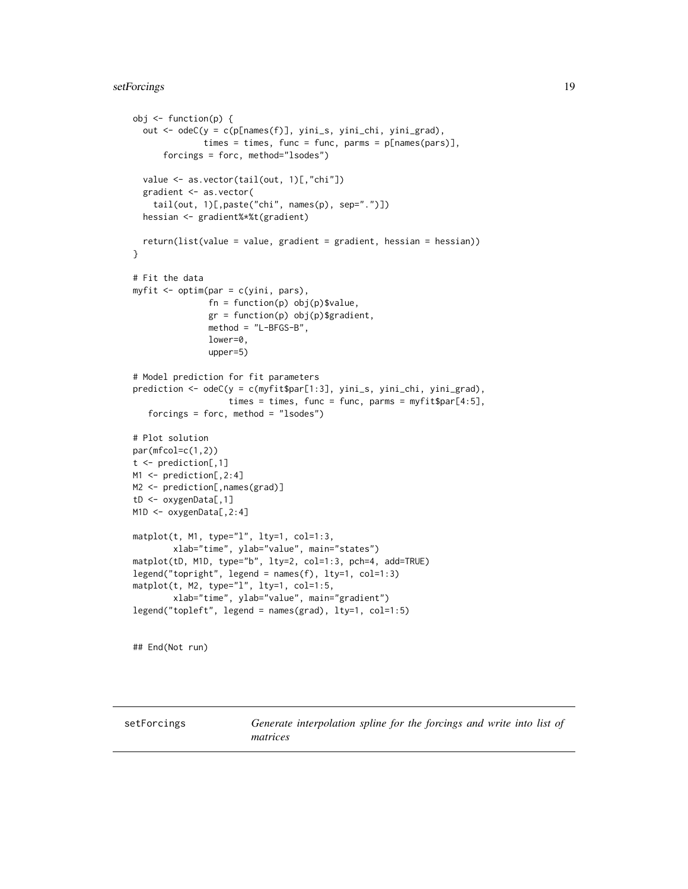#### <span id="page-18-0"></span>setForcings 19

```
obj <- function(p) {
  out <- odeC(y = c(p[names(f)], yini_s, yini_chi, yini_grad),
              times = times, func = func, parms = p[names(pars)],
      forcings = forc, method="lsodes")
  value <- as.vector(tail(out, 1)[,"chi"])
  gradient <- as.vector(
    tail(out, 1)[,paste("chi", names(p), sep=".")])
  hessian <- gradient%*%t(gradient)
  return(list(value = value, gradient = gradient, hessian = hessian))
}
# Fit the data
myfit <- optim(par = c(yini, pars),
               fn = function(p) obj(p)$value,
               gr = function(p) obj(p)$gradient,
               method = "L-BFGS-B",
               lower=0,
               upper=5)
# Model prediction for fit parameters
prediction <- odeC(y = c(myfit$par[1:3], yini_s, yini_chi, yini_grad),
                   times = times, func = func, parms = myfit$par[4:5],
   forcings = forc, method = "lsodes")
# Plot solution
par(mfcol=c(1,2))
t <- prediction[,1]
M1 <- prediction[,2:4]
M2 <- prediction[, names(grad)]
tD <- oxygenData[,1]
M1D <- oxygenData[, 2:4]
matplot(t, M1, type="l", lty=1, col=1:3,
        xlab="time", ylab="value", main="states")
matplot(tD, M1D, type="b", lty=2, col=1:3, pch=4, add=TRUE)
legend("topright", legend = names(f), lty=1, col=1:3)
matplot(t, M2, type="l", lty=1, col=1:5,
        xlab="time", ylab="value", main="gradient")
legend("topleft", legend = names(grad), lty=1, col=1:5)
```
## End(Not run)

setForcings *Generate interpolation spline for the forcings and write into list of matrices*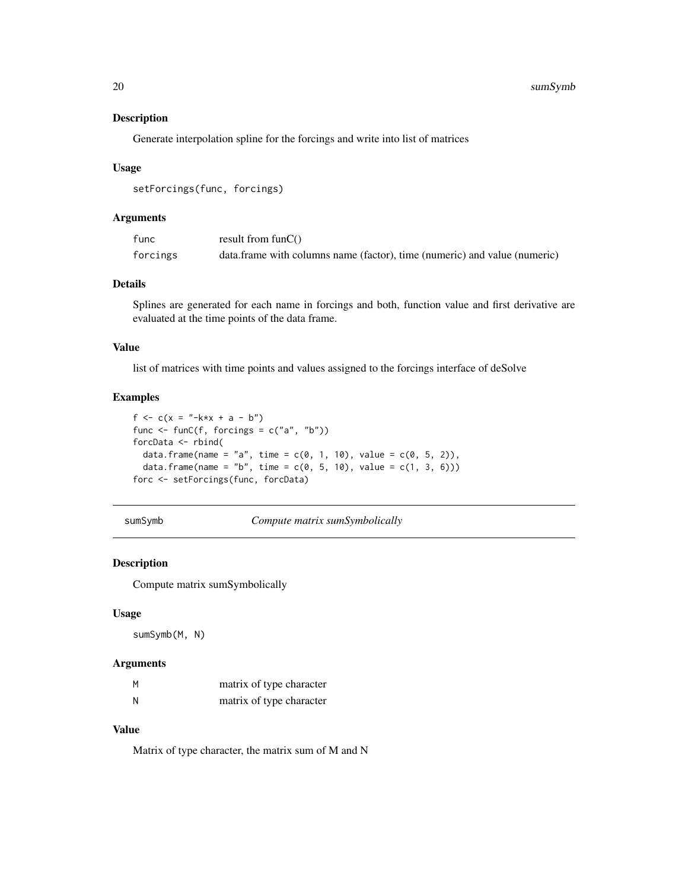Generate interpolation spline for the forcings and write into list of matrices

#### Usage

```
setForcings(func, forcings)
```
#### Arguments

| func     | result from $funC()$                                                      |
|----------|---------------------------------------------------------------------------|
| forcings | data.frame with columns name (factor), time (numeric) and value (numeric) |

#### Details

Splines are generated for each name in forcings and both, function value and first derivative are evaluated at the time points of the data frame.

#### Value

list of matrices with time points and values assigned to the forcings interface of deSolve

#### Examples

```
f <- c(x = "-k*x + a - b")func <- funC(f, forcings = c("a", "b"))
forcData <- rbind(
  data.frame(name = "a", time = c(0, 1, 10), value = c(0, 5, 2)),
  data.frame(name = "b", time = c(0, 5, 10), value = c(1, 3, 6)))
forc <- setForcings(func, forcData)
```
sumSymb *Compute matrix sumSymbolically*

#### Description

Compute matrix sumSymbolically

#### Usage

sumSymb(M, N)

#### Arguments

| M | matrix of type character |
|---|--------------------------|
| N | matrix of type character |

#### Value

Matrix of type character, the matrix sum of M and N

<span id="page-19-0"></span>